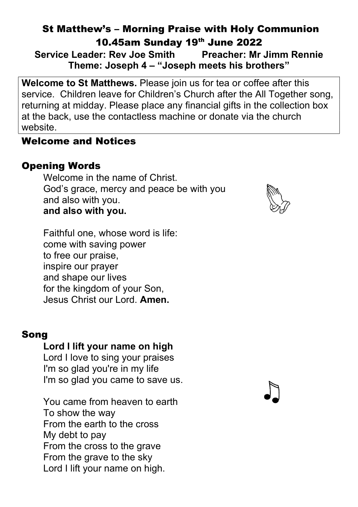# St Matthew's – Morning Praise with Holy Communion 10.45am Sunday 19th June 2022

Service Leader: Rev Joe Smith Preacher: Mr Jimm Rennie Theme: Joseph 4 – "Joseph meets his brothers"

Welcome to St Matthews. Please join us for tea or coffee after this service. Children leave for Children's Church after the All Together song, returning at midday. Please place any financial gifts in the collection box at the back, use the contactless machine or donate via the church website.

#### Welcome and Notices

# Opening Words

Welcome in the name of Christ. God's grace, mercy and peace be with you and also with you. and also with you.

Faithful one, whose word is life: come with saving power to free our praise, inspire our prayer and shape our lives for the kingdom of your Son. Jesus Christ our Lord. Amen.

# Song

## Lord I lift your name on high

Lord I love to sing your praises I'm so glad you're in my life I'm so glad you came to save us.

You came from heaven to earth To show the way From the earth to the cross My debt to pay From the cross to the grave From the grave to the sky Lord I lift your name on high.

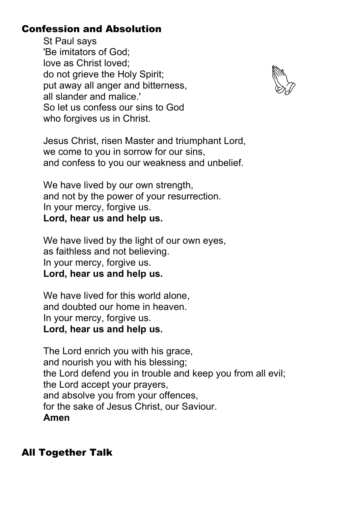## Confession and Absolution

St Paul says 'Be imitators of God; love as Christ loved; do not grieve the Holy Spirit; put away all anger and bitterness, all slander and malice.' So let us confess our sins to God who forgives us in Christ.



Jesus Christ, risen Master and triumphant Lord, we come to you in sorrow for our sins, and confess to you our weakness and unbelief.

We have lived by our own strength, and not by the power of your resurrection. In your mercy, forgive us. Lord, hear us and help us.

We have lived by the light of our own eyes, as faithless and not believing. In your mercy, forgive us. Lord, hear us and help us.

We have lived for this world alone. and doubted our home in heaven. In your mercy, forgive us. Lord, hear us and help us.

The Lord enrich you with his grace, and nourish you with his blessing; the Lord defend you in trouble and keep you from all evil; the Lord accept your prayers, and absolve you from your offences, for the sake of Jesus Christ, our Saviour. Amen

## All Together Talk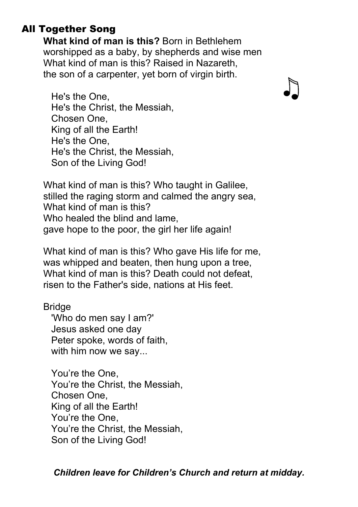# All Together Song

What kind of man is this? Born in Bethlehem worshipped as a baby, by shepherds and wise men What kind of man is this? Raised in Nazareth, the son of a carpenter, yet born of virgin birth.

 He's the One, He's the Christ, the Messiah, Chosen One, King of all the Earth! He's the One, He's the Christ, the Messiah, Son of the Living God!

What kind of man is this? Who taught in Galilee, stilled the raging storm and calmed the angry sea, What kind of man is this? Who healed the blind and lame, gave hope to the poor, the girl her life again!

What kind of man is this? Who gave His life for me, was whipped and beaten, then hung upon a tree, What kind of man is this? Death could not defeat. risen to the Father's side, nations at His feet.

#### **Bridge**

 'Who do men say I am?' Jesus asked one day Peter spoke, words of faith, with him now we say...

 You're the One, You're the Christ, the Messiah, Chosen One, King of all the Earth! You're the One, You're the Christ, the Messiah, Son of the Living God!

Children leave for Children's Church and return at midday.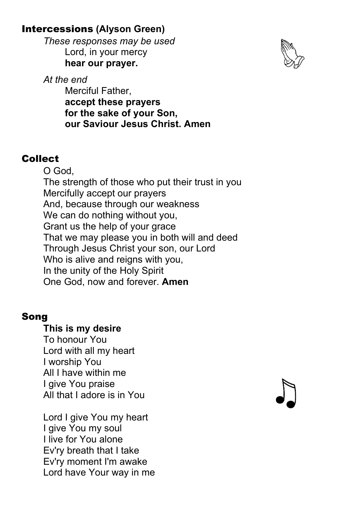## Intercessions (Alyson Green)

These responses may be used Lord, in your mercy hear our prayer.

At the end

 Merciful Father, accept these prayers for the sake of your Son, our Saviour Jesus Christ. Amen

## Collect

O God, The strength of those who put their trust in you Mercifully accept our prayers And, because through our weakness We can do nothing without you, Grant us the help of your grace That we may please you in both will and deed Through Jesus Christ your son, our Lord Who is alive and reigns with you, In the unity of the Holy Spirit One God, now and forever. Amen

## Song

This is my desire To honour You Lord with all my heart I worship You All I have within me I give You praise All that I adore is in You

Lord I give You my heart I give You my soul I live for You alone Ev'ry breath that I take Ev'ry moment I'm awake Lord have Your way in me



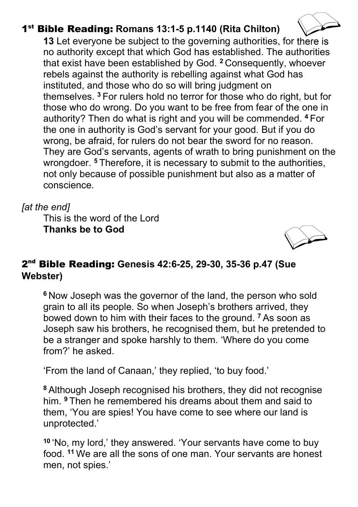## 1 st Bible Reading: Romans 13:1-5 p.1140 (Rita Chilton)

13 Let everyone be subject to the governing authorities, for there is no authority except that which God has established. The authorities that exist have been established by God. <sup>2</sup> Consequently, whoever rebels against the authority is rebelling against what God has instituted, and those who do so will bring judgment on themselves. <sup>3</sup>For rulers hold no terror for those who do right, but for those who do wrong. Do you want to be free from fear of the one in authority? Then do what is right and you will be commended. <sup>4</sup>For the one in authority is God's servant for your good. But if you do wrong, be afraid, for rulers do not bear the sword for no reason. They are God's servants, agents of wrath to bring punishment on the wrongdoer.<sup>5</sup> Therefore, it is necessary to submit to the authorities, not only because of possible punishment but also as a matter of conscience.

## *<u>fat the endl</u>*

This is the word of the Lord Thanks be to God



## 2<sup>nd</sup> Bible Reading: Genesis 42:6-25, 29-30, 35-36 p.47 (Sue Webster)

<sup>6</sup> Now Joseph was the governor of the land, the person who sold grain to all its people. So when Joseph's brothers arrived, they bowed down to him with their faces to the ground. <sup>7</sup>As soon as Joseph saw his brothers, he recognised them, but he pretended to be a stranger and spoke harshly to them. 'Where do you come from?' he asked.

'From the land of Canaan,' they replied, 'to buy food.'

<sup>8</sup>Although Joseph recognised his brothers, they did not recognise him. <sup>9</sup> Then he remembered his dreams about them and said to them, 'You are spies! You have come to see where our land is unprotected.'

<sup>10</sup>'No, my lord,' they answered. 'Your servants have come to buy food. <sup>11</sup>We are all the sons of one man. Your servants are honest men, not spies.'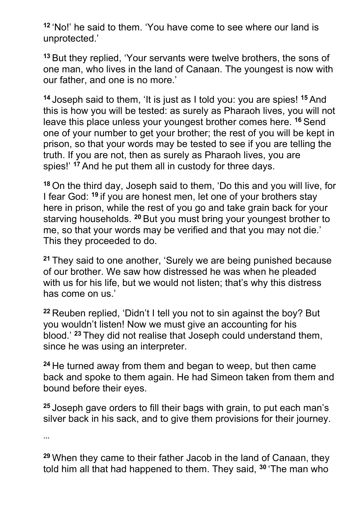<sup>12</sup>'No!' he said to them. 'You have come to see where our land is unprotected.'

<sup>13</sup> But they replied, 'Your servants were twelve brothers, the sons of one man, who lives in the land of Canaan. The youngest is now with our father, and one is no more.'

<sup>14</sup> Joseph said to them, 'It is just as I told you: you are spies! <sup>15</sup> And this is how you will be tested: as surely as Pharaoh lives, you will not leave this place unless your youngest brother comes here. <sup>16</sup> Send one of your number to get your brother; the rest of you will be kept in prison, so that your words may be tested to see if you are telling the truth. If you are not, then as surely as Pharaoh lives, you are spies!' <sup>17</sup> And he put them all in custody for three days.

<sup>18</sup>On the third day, Joseph said to them, 'Do this and you will live, for I fear God: <sup>19</sup> if you are honest men, let one of your brothers stay here in prison, while the rest of you go and take grain back for your starving households. <sup>20</sup> But you must bring your youngest brother to me, so that your words may be verified and that you may not die.' This they proceeded to do.

<sup>21</sup>They said to one another, 'Surely we are being punished because of our brother. We saw how distressed he was when he pleaded with us for his life, but we would not listen; that's why this distress has come on us.'

<sup>22</sup>Reuben replied, 'Didn't I tell you not to sin against the boy? But you wouldn't listen! Now we must give an accounting for his blood.' <sup>23</sup> They did not realise that Joseph could understand them, since he was using an interpreter.

<sup>24</sup>He turned away from them and began to weep, but then came back and spoke to them again. He had Simeon taken from them and bound before their eyes.

<sup>25</sup> Joseph gave orders to fill their bags with grain, to put each man's silver back in his sack, and to give them provisions for their journey.

…

<sup>29</sup>When they came to their father Jacob in the land of Canaan, they told him all that had happened to them. They said, <sup>30</sup> 'The man who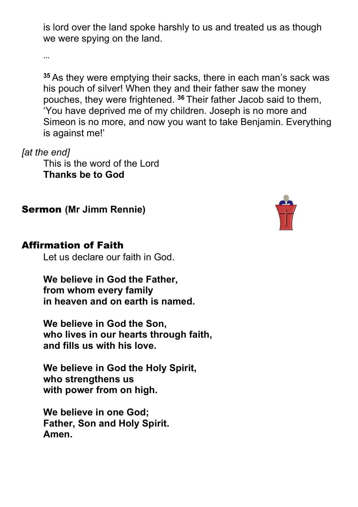is lord over the land spoke harshly to us and treated us as though we were spying on the land.

…

<sup>35</sup>As they were emptying their sacks, there in each man's sack was his pouch of silver! When they and their father saw the money pouches, they were frightened. <sup>36</sup> Their father Jacob said to them, 'You have deprived me of my children. Joseph is no more and Simeon is no more, and now you want to take Benjamin. Everything is against me!'

#### [at the end]

This is the word of the Lord Thanks be to God

Sermon (Mr Jimm Rennie)

#### Affirmation of Faith

Let us declare our faith in God.

We believe in God the Father, from whom every family in heaven and on earth is named.

We believe in God the Son, who lives in our hearts through faith, and fills us with his love.

We believe in God the Holy Spirit, who strengthens us with power from on high.

We believe in one God; Father, Son and Holy Spirit. Amen.

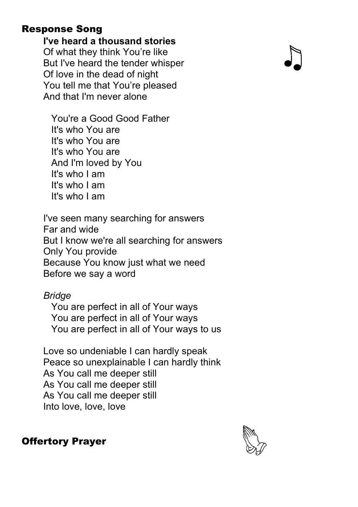#### Response Song

I've heard a thousand stories Of what they think You're like But I've heard the tender whisper Of love in the dead of night You tell me that You're pleased And that I'm never alone

 You're a Good Good Father It's who You are It's who You are It's who You are And I'm loved by You It's who I am It's who I am It's who I am

I've seen many searching for answers Far and wide But I know we're all searching for answers Only You provide Because You know just what we need Before we say a word

#### **Bridge**

 You are perfect in all of Your ways You are perfect in all of Your ways You are perfect in all of Your ways to us

Love so undeniable I can hardly speak Peace so unexplainable I can hardly think As You call me deeper still As You call me deeper still As You call me deeper still Into love, love, love



#### Offertory Prayer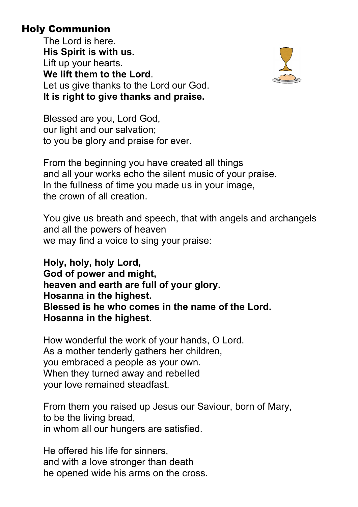## Holy Communion

The Lord is here. His Spirit is with us. Lift up your hearts. We lift them to the Lord. Let us give thanks to the Lord our God. It is right to give thanks and praise.



Blessed are you, Lord God, our light and our salvation; to you be glory and praise for ever.

From the beginning you have created all things and all your works echo the silent music of your praise. In the fullness of time you made us in your image, the crown of all creation.

You give us breath and speech, that with angels and archangels and all the powers of heaven we may find a voice to sing your praise:

Holy, holy, holy Lord, God of power and might, heaven and earth are full of your glory. Hosanna in the highest. Blessed is he who comes in the name of the Lord. Hosanna in the highest.

How wonderful the work of your hands, O Lord. As a mother tenderly gathers her children, you embraced a people as your own. When they turned away and rebelled your love remained steadfast.

From them you raised up Jesus our Saviour, born of Mary, to be the living bread, in whom all our hungers are satisfied.

He offered his life for sinners, and with a love stronger than death he opened wide his arms on the cross.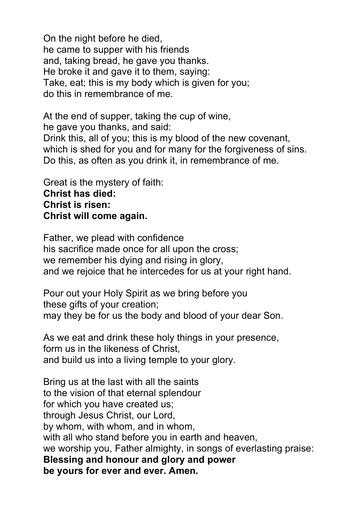On the night before he died, he came to supper with his friends and, taking bread, he gave you thanks. He broke it and gave it to them, saying: Take, eat; this is my body which is given for you; do this in remembrance of me.

At the end of supper, taking the cup of wine, he gave you thanks, and said: Drink this, all of you; this is my blood of the new covenant, which is shed for you and for many for the forgiveness of sins. Do this, as often as you drink it, in remembrance of me.

Great is the mystery of faith: Christ has died: Christ is risen: Christ will come again.

Father, we plead with confidence his sacrifice made once for all upon the cross; we remember his dying and rising in glory, and we rejoice that he intercedes for us at your right hand.

Pour out your Holy Spirit as we bring before you these gifts of your creation; may they be for us the body and blood of your dear Son.

As we eat and drink these holy things in your presence, form us in the likeness of Christ, and build us into a living temple to your glory.

Bring us at the last with all the saints to the vision of that eternal splendour for which you have created us; through Jesus Christ, our Lord, by whom, with whom, and in whom, with all who stand before you in earth and heaven, we worship you, Father almighty, in songs of everlasting praise: Blessing and honour and glory and power be yours for ever and ever. Amen.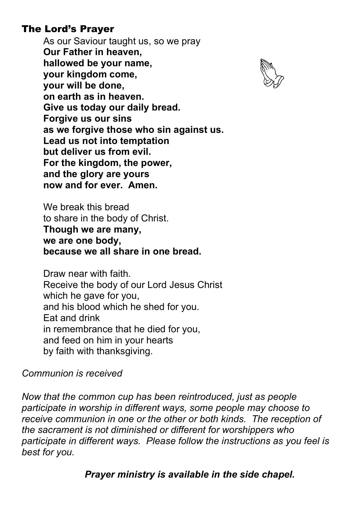## The Lord's Prayer

As our Saviour taught us, so we pray Our Father in heaven, hallowed be your name, your kingdom come, your will be done, on earth as in heaven. Give us today our daily bread. Forgive us our sins as we forgive those who sin against us. Lead us not into temptation but deliver us from evil. For the kingdom, the power, and the glory are yours now and for ever. Amen.



We break this bread to share in the body of Christ. Though we are many, we are one body, because we all share in one bread.

Draw near with faith. Receive the body of our Lord Jesus Christ which he gave for you, and his blood which he shed for you. Eat and drink in remembrance that he died for you, and feed on him in your hearts by faith with thanksgiving.

#### Communion is received

Now that the common cup has been reintroduced, just as people participate in worship in different ways, some people may choose to receive communion in one or the other or both kinds. The reception of the sacrament is not diminished or different for worshippers who participate in different ways. Please follow the instructions as you feel is best for you.

Prayer ministry is available in the side chapel.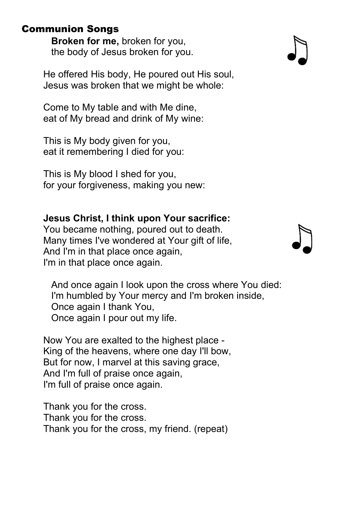#### Communion Songs

 Broken for me, broken for you, the body of Jesus broken for you.

He offered His body, He poured out His soul, Jesus was broken that we might be whole:

Come to My table and with Me dine, eat of My bread and drink of My wine:

This is My body given for you, eat it remembering I died for you:

This is My blood I shed for you, for your forgiveness, making you new:

#### Jesus Christ, I think upon Your sacrifice:

You became nothing, poured out to death. Many times I've wondered at Your gift of life. And I'm in that place once again, I'm in that place once again.



 And once again I look upon the cross where You died: I'm humbled by Your mercy and I'm broken inside, Once again I thank You, Once again I pour out my life.

Now You are exalted to the highest place - King of the heavens, where one day I'll bow, But for now, I marvel at this saving grace, And I'm full of praise once again, I'm full of praise once again.

Thank you for the cross. Thank you for the cross. Thank you for the cross, my friend. (repeat)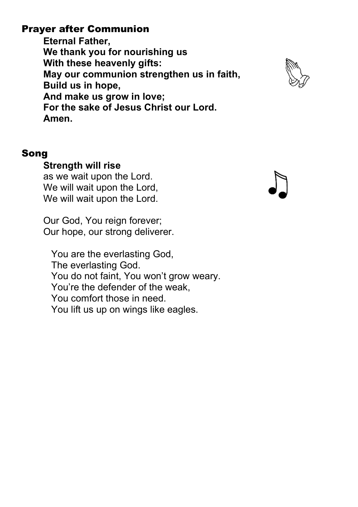## Prayer after Communion

Eternal Father, We thank you for nourishing us With these heavenly gifts: May our communion strengthen us in faith, Build us in hope, And make us grow in love; For the sake of Jesus Christ our Lord. Amen.

#### Song

#### Strength will rise

as we wait upon the Lord. We will wait upon the Lord, We will wait upon the Lord.

Our God, You reign forever: Our hope, our strong deliverer.

 You are the everlasting God, The everlasting God. You do not faint, You won't grow weary. You're the defender of the weak, You comfort those in need. You lift us up on wings like eagles.